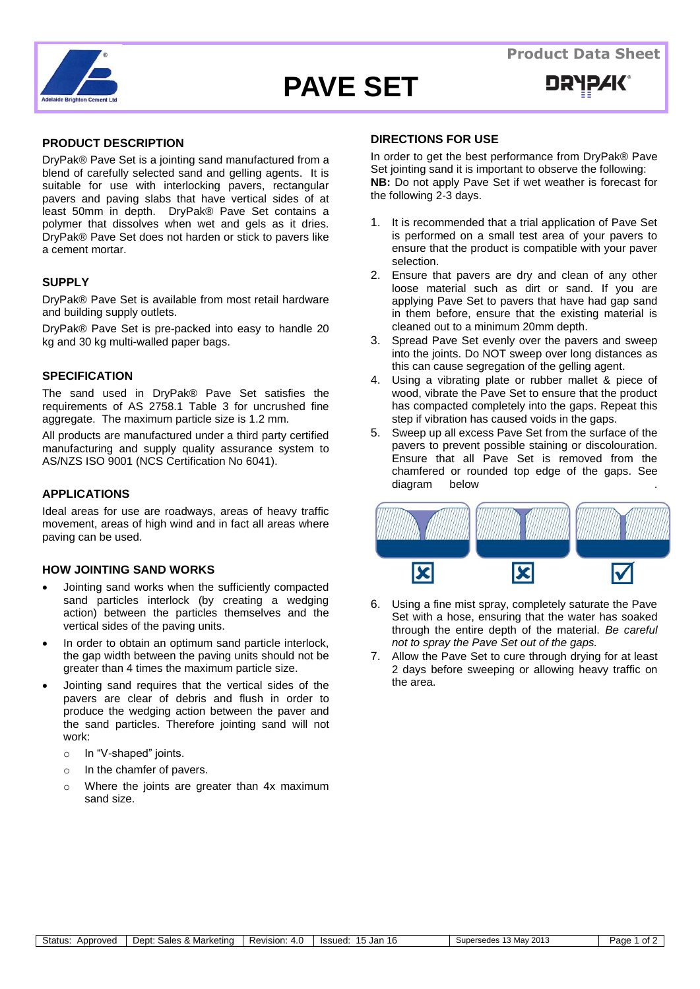

# **PAVE SET**



# **PRODUCT DESCRIPTION**

DryPak® Pave Set is a jointing sand manufactured from a blend of carefully selected sand and gelling agents. It is suitable for use with interlocking pavers, rectangular pavers and paving slabs that have vertical sides of at least 50mm in depth. DryPak® Pave Set contains a polymer that dissolves when wet and gels as it dries. DryPak® Pave Set does not harden or stick to pavers like a cement mortar.

## **SUPPLY**

DryPak® Pave Set is available from most retail hardware and building supply outlets.

DryPak® Pave Set is pre-packed into easy to handle 20 kg and 30 kg multi-walled paper bags.

## **SPECIFICATION**

The sand used in DryPak® Pave Set satisfies the requirements of AS 2758.1 Table 3 for uncrushed fine aggregate. The maximum particle size is 1.2 mm.

All products are manufactured under a third party certified manufacturing and supply quality assurance system to AS/NZS ISO 9001 (NCS Certification No 6041).

#### **APPLICATIONS**

Ideal areas for use are roadways, areas of heavy traffic movement, areas of high wind and in fact all areas where paving can be used.

#### **HOW JOINTING SAND WORKS**

- Jointing sand works when the sufficiently compacted sand particles interlock (by creating a wedging action) between the particles themselves and the vertical sides of the paving units.
- In order to obtain an optimum sand particle interlock, the gap width between the paving units should not be greater than 4 times the maximum particle size.
- Jointing sand requires that the vertical sides of the pavers are clear of debris and flush in order to produce the wedging action between the paver and the sand particles. Therefore jointing sand will not work:
	- o In "V-shaped" joints.
	- o In the chamfer of pavers.
	- o Where the joints are greater than 4x maximum sand size.

## **DIRECTIONS FOR USE**

In order to get the best performance from DryPak® Pave Set jointing sand it is important to observe the following: **NB:** Do not apply Pave Set if wet weather is forecast for the following 2-3 days.

- 1. It is recommended that a trial application of Pave Set is performed on a small test area of your pavers to ensure that the product is compatible with your paver selection.
- 2. Ensure that pavers are dry and clean of any other loose material such as dirt or sand. If you are applying Pave Set to pavers that have had gap sand in them before, ensure that the existing material is cleaned out to a minimum 20mm depth.
- 3. Spread Pave Set evenly over the pavers and sweep into the joints. Do NOT sweep over long distances as this can cause segregation of the gelling agent.
- 4. Using a vibrating plate or rubber mallet & piece of wood, vibrate the Pave Set to ensure that the product has compacted completely into the gaps. Repeat this step if vibration has caused voids in the gaps.
- 5. Sweep up all excess Pave Set from the surface of the pavers to prevent possible staining or discolouration. Ensure that all Pave Set is removed from the chamfered or rounded top edge of the gaps. See diagram below



- 6. Using a fine mist spray, completely saturate the Pave Set with a hose, ensuring that the water has soaked through the entire depth of the material. *Be careful not to spray the Pave Set out of the gaps.*
- 7. Allow the Pave Set to cure through drying for at least 2 days before sweeping or allowing heavy traffic on the area.